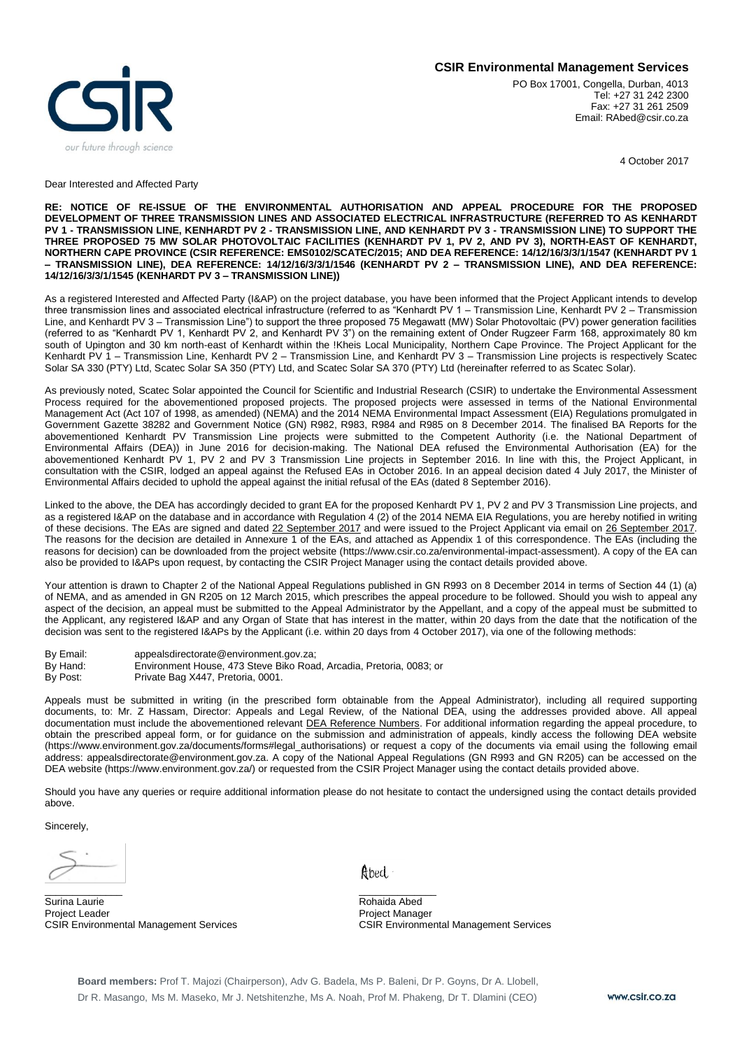## **CSIR Environmental Management Services**



PO Box 17001, Congella, Durban, 4013 Tel: +27 31 242 2300 Fax: +27 31 261 2509 Email: RAbed@csir.co.za

4 October 2017

Dear Interested and Affected Party

**RE: NOTICE OF RE-ISSUE OF THE ENVIRONMENTAL AUTHORISATION AND APPEAL PROCEDURE FOR THE PROPOSED DEVELOPMENT OF THREE TRANSMISSION LINES AND ASSOCIATED ELECTRICAL INFRASTRUCTURE (REFERRED TO AS KENHARDT PV 1 - TRANSMISSION LINE, KENHARDT PV 2 - TRANSMISSION LINE, AND KENHARDT PV 3 - TRANSMISSION LINE) TO SUPPORT THE THREE PROPOSED 75 MW SOLAR PHOTOVOLTAIC FACILITIES (KENHARDT PV 1, PV 2, AND PV 3), NORTH-EAST OF KENHARDT, NORTHERN CAPE PROVINCE (CSIR REFERENCE: EMS0102/SCATEC/2015; AND DEA REFERENCE: 14/12/16/3/3/1/1547 (KENHARDT PV 1 – TRANSMISSION LINE), DEA REFERENCE: 14/12/16/3/3/1/1546 (KENHARDT PV 2 – TRANSMISSION LINE), AND DEA REFERENCE: 14/12/16/3/3/1/1545 (KENHARDT PV 3 – TRANSMISSION LINE))**

As a registered Interested and Affected Party (I&AP) on the project database, you have been informed that the Project Applicant intends to develop three transmission lines and associated electrical infrastructure (referred to as "Kenhardt PV 1 – Transmission Line, Kenhardt PV 2 – Transmission Line, and Kenhardt PV 3 – Transmission Line") to support the three proposed 75 Megawatt (MW) Solar Photovoltaic (PV) power generation facilities (referred to as "Kenhardt PV 1, Kenhardt PV 2, and Kenhardt PV 3") on the remaining extent of Onder Rugzeer Farm 168, approximately 80 km south of Upington and 30 km north-east of Kenhardt within the !Kheis Local Municipality, Northern Cape Province. The Project Applicant for the Kenhardt PV 1 – Transmission Line, Kenhardt PV 2 – Transmission Line, and Kenhardt PV 3 – Transmission Line projects is respectively Scatec Solar SA 330 (PTY) Ltd, Scatec Solar SA 350 (PTY) Ltd, and Scatec Solar SA 370 (PTY) Ltd (hereinafter referred to as Scatec Solar).

As previously noted, Scatec Solar appointed the Council for Scientific and Industrial Research (CSIR) to undertake the Environmental Assessment Process required for the abovementioned proposed projects. The proposed projects were assessed in terms of the National Environmental Management Act (Act 107 of 1998, as amended) (NEMA) and the 2014 NEMA Environmental Impact Assessment (EIA) Regulations promulgated in Government Gazette 38282 and Government Notice (GN) R982, R983, R984 and R985 on 8 December 2014. The finalised BA Reports for the abovementioned Kenhardt PV Transmission Line projects were submitted to the Competent Authority (i.e. the National Department of Environmental Affairs (DEA)) in June 2016 for decision-making. The National DEA refused the Environmental Authorisation (EA) for the abovementioned Kenhardt PV 1, PV 2 and PV 3 Transmission Line projects in September 2016. In line with this, the Project Applicant, in consultation with the CSIR, lodged an appeal against the Refused EAs in October 2016. In an appeal decision dated 4 July 2017, the Minister of Environmental Affairs decided to uphold the appeal against the initial refusal of the EAs (dated 8 September 2016).

Linked to the above, the DEA has accordingly decided to grant EA for the proposed Kenhardt PV 1, PV 2 and PV 3 Transmission Line projects, and as a registered I&AP on the database and in accordance with Regulation 4 (2) of the 2014 NEMA EIA Regulations, you are hereby notified in writing of these decisions. The EAs are signed and dated 22 September 2017 and were issued to the Project Applicant via email on 26 September 2017. The reasons for the decision are detailed in Annexure 1 of the EAs, and attached as Appendix 1 of this correspondence. The EAs (including the reasons for decision) can be downloaded from the project website (https://www.csir.co.za/environmental-impact-assessment). A copy of the EA can also be provided to I&APs upon request, by contacting the CSIR Project Manager using the contact details provided above.

Your attention is drawn to Chapter 2 of the National Appeal Regulations published in GN R993 on 8 December 2014 in terms of Section 44 (1) (a) of NEMA, and as amended in GN R205 on 12 March 2015, which prescribes the appeal procedure to be followed. Should you wish to appeal any aspect of the decision, an appeal must be submitted to the Appeal Administrator by the Appellant, and a copy of the appeal must be submitted to the Applicant, any registered I&AP and any Organ of State that has interest in the matter, within 20 days from the date that the notification of the decision was sent to the registered I&APs by the Applicant (i.e. within 20 days from 4 October 2017), via one of the following methods:

- By Email: appealsdirectorate@environment.gov.za;<br>By Hand: Environment House, 473 Steve Biko Roa
- Environment House, 473 Steve Biko Road, Arcadia, Pretoria, 0083; or
- By Post: Private Bag X447, Pretoria, 0001.

Appeals must be submitted in writing (in the prescribed form obtainable from the Appeal Administrator), including all required supporting documents, to: Mr. Z Hassam, Director: Appeals and Legal Review, of the National DEA, using the addresses provided above. All appeal documentation must include the abovementioned relevant DEA Reference Numbers. For additional information regarding the appeal procedure, to obtain the prescribed appeal form, or for guidance on the submission and administration of appeals, kindly access the following DEA website (https://www.environment.gov.za/documents/forms#legal\_authorisations) or request a copy of the documents via email using the following email address: appealsdirectorate@environment.gov.za. A copy of the National Appeal Regulations (GN R993 and GN R205) can be accessed on the DEA website (https://www.environment.gov.za/) or requested from the CSIR Project Manager using the contact details provided above.

Should you have any queries or require additional information please do not hesitate to contact the undersigned using the contact details provided above.

Sincerely,

\_\_\_\_\_\_\_\_\_\_\_\_\_\_ \_\_\_\_\_\_\_\_\_\_\_\_\_\_ Surina Laurie **New York Contract Contract Contract Contract Contract Contract Contract Contract Contract Contract Contract Contract Contract Contract Contract Contract Contract Contract Contract Contract Contract Contract** Project Leader **Project Manager** Project Manager CSIR Environmental Management Services CSIR Environmental Management Services

Abed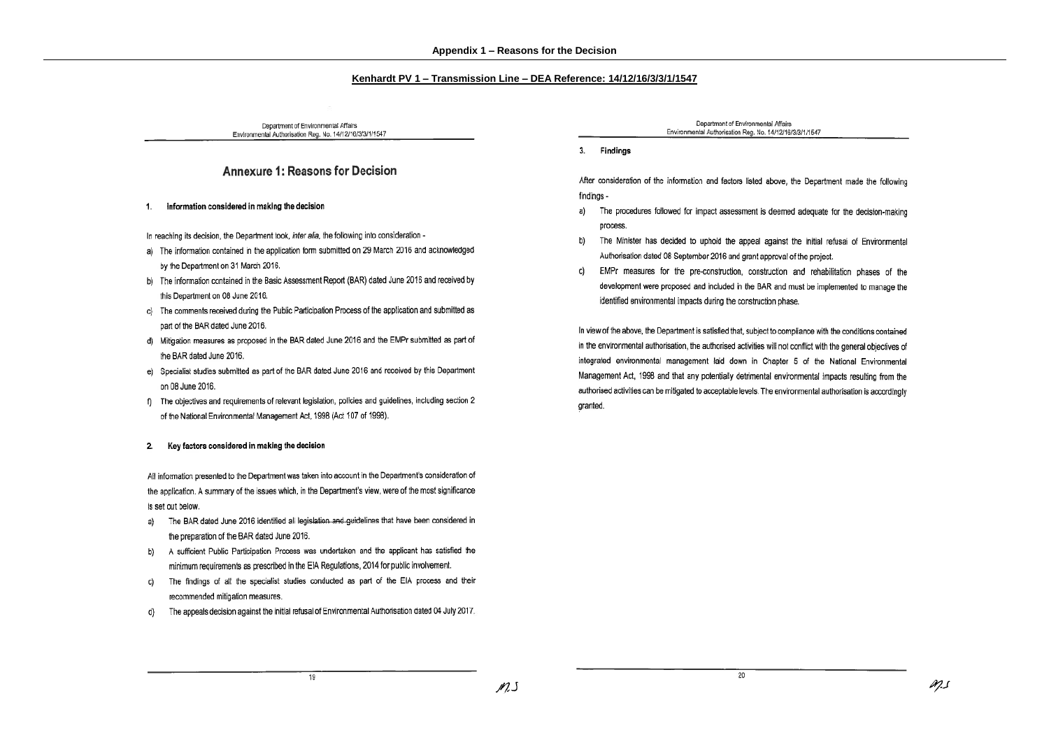### Kenhardt PV 1 - Transmission Line - DEA Reference: 14/12/16/3/3/1/1547

Department of Environmental Affairs Environmental Authorisation Reg. No. 14/12/16/3/3/1/1547

## **Annexure 1: Reasons for Decision**

#### information considered in making the decision 1.

In reaching its decision, the Department took, inter alia, the following into consideration -

- a) The information contained in the application form submitted on 29 March 2016 and acknowledged by the Department on 31 March 2016.
- b) The information contained in the Basic Assessment Report (BAR) dated June 2016 and received by this Department on 08 June 2016.
- c) The comments received during the Public Participation Process of the application and submitted as part of the BAR dated June 2016.
- d) Mitigation measures as proposed in the BAR dated June 2016 and the EMPr submitted as part of the BAR dated June 2016.
- e) Specialist studies submitted as part of the BAR dated June 2016 and received by this Department on 08 June 2016.
- f) The objectives and requirements of relevant legislation, policies and guidelines, including section 2 of the National Environmental Management Act, 1998 (Act 107 of 1998).

### 2. Key factors considered in making the decision

All information presented to the Department was taken into account in the Department's consideration of the application. A summary of the issues which, in the Department's view, were of the most significance is set out below.

- The BAR dated June 2016 identified all legislation and quidelines that have been considered in a) the preparation of the BAR dated June 2016.
- b) A sufficient Public Participation Process was undertaken and the applicant has satisfied the minimum requirements as prescribed in the EIA Regulations, 2014 for public involvement.
- The findings of all the specialist studies conducted as part of the EIA process and their C) recommended mitigation measures.
- The appeals decision against the initial refusal of Environmental Authorisation dated 04 July 2017. d)

Department of Environmental Affairs Environmental Authorisation Reg. No. 14/12/16/3/3/1/1547

3. Findings

After consideration of the information and factors listed above, the Department made the following findings -

- a) The procedures followed for impact assessment is deemed adequate for the decision-making process.
- b) The Minister has decided to uphold the appeal against the initial refusal of Environmental Authorisation dated 08 September 2016 and grant approval of the project.
- EMPr measures for the pre-construction, construction and rehabilitation phases of the C) development were proposed and included in the BAR and must be implemented to manage the identified environmental impacts during the construction phase.

In view of the above, the Department is satisfied that, subject to compliance with the conditions contained in the environmental authorisation, the authorised activities will not conflict with the general objectives of integrated environmental management laid down in Chapter 5 of the National Environmental Management Act, 1998 and that any potentially detrimental environmental impacts resulting from the authorised activities can be mitigated to acceptable levels. The environmental authorisation is accordingly granted.

20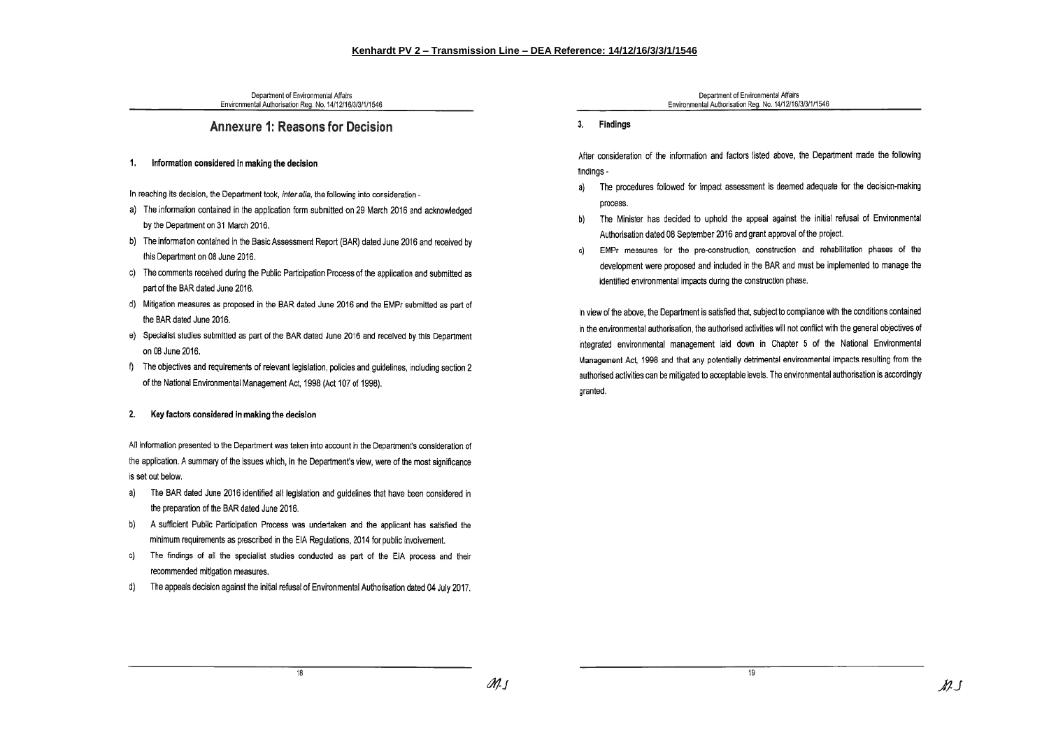Department of Environmental Affairs Environmental Authorisation Reg. No. 14/12/16/3/3/1/1546

# Annexure 1: Reasons for Decision

#### Information considered in making the decision 1.

In reaching its decision, the Department took, inter alia, the following into consideration -

- a) The information contained in the application form submitted on 29 March 2016 and acknowledged by the Department on 31 March 2016.
- b) The information contained in the Basic Assessment Report (BAR) dated June 2016 and received by this Department on 08 June 2016.
- c) The comments received during the Public Participation Process of the application and submitted as part of the BAR dated June 2016.
- d) Mitigation measures as proposed in the BAR dated June 2016 and the EMPr submitted as part of the BAR dated June 2016.
- e) Specialist studies submitted as part of the BAR dated June 2016 and received by this Department on 08 June 2016.
- f) The objectives and requirements of relevant legislation, policies and guidelines, including section 2 of the National Environmental Management Act, 1998 (Act 107 of 1998).

#### Key factors considered in making the decision 2.

All information presented to the Department was taken into account in the Department's consideration of the application. A summary of the issues which, in the Department's view, were of the most significance is set out below.

- a) The BAR dated June 2016 identified all legislation and guidelines that have been considered in the preparation of the BAR dated June 2016.
- b) A sufficient Public Participation Process was undertaken and the applicant has satisfied the minimum requirements as prescribed in the EIA Regulations, 2014 for public involvement.
- c) The findings of all the specialist studies conducted as part of the EIA process and their recommended mitigation measures.
- d) The appeals decision against the initial refusal of Environmental Authorisation dated 04 July 2017.

Department of Environmental Affairs Environmental Authorisation Reg. No. 14/12/16/3/3/1/1546

3. Findings

After consideration of the information and factors listed above, the Department made the following findinas -

- The procedures followed for impact assessment is deemed adequate for the decision-making aì process.
- b) The Minister has decided to uphold the appeal against the initial refusal of Environmental Authorisation dated 08 September 2016 and grant approval of the project.
- c) FMPr measures for the pre-construction, construction and rehabilitation phases of the development were proposed and included in the BAR and must be implemented to manage the identified environmental impacts during the construction phase.

In view of the above, the Department is satisfied that, subject to compliance with the conditions contained in the environmental authorisation, the authorised activities will not conflict with the general objectives of integrated environmental management laid down in Chapter 5 of the National Environmental Management Act. 1998 and that any potentially detrimental environmental impacts resulting from the authorised activities can be mitigated to acceptable levels. The environmental authorisation is accordingly granted.

19